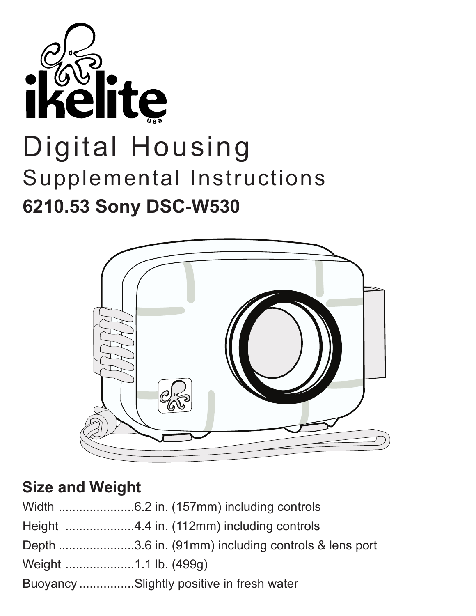



### **Size and Weight**

| Buoyancy Slightly positive in fresh water |
|-------------------------------------------|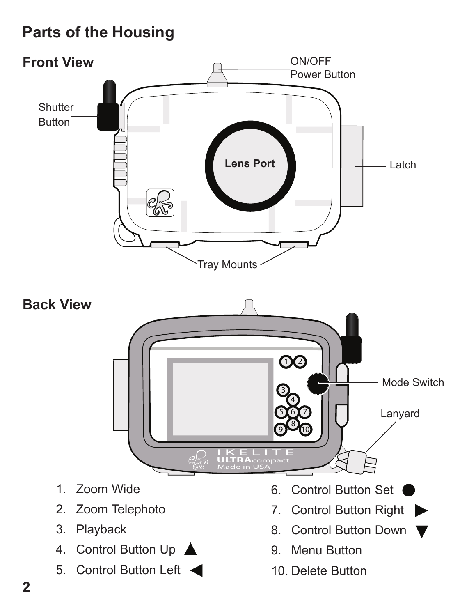# **Parts of the Housing**

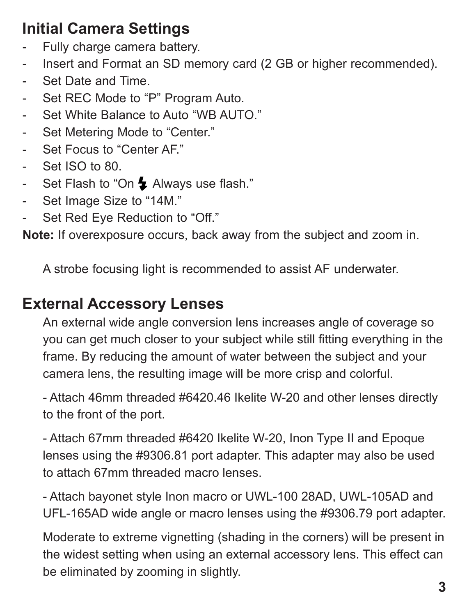## **Initial Camera Settings**

- Fully charge camera battery.
- Insert and Format an SD memory card (2 GB or higher recommended).
- Set Date and Time.
- Set REC Mode to "P" Program Auto.
- Set White Balance to Auto "WB AUTO."
- Set Metering Mode to "Center."
- Set Focus to "Center AF."
- Set ISO to 80.
- Set Flash to "On  $\blacktriangleright$  Always use flash."
- Set Image Size to "14M."
- Set Red Eye Reduction to "Off."

**Note:** If overexposure occurs, back away from the subject and zoom in.

A strobe focusing light is recommended to assist AF underwater.

### **External Accessory Lenses**

An external wide angle conversion lens increases angle of coverage so you can get much closer to your subject while still fitting everything in the frame. By reducing the amount of water between the subject and your camera lens, the resulting image will be more crisp and colorful.

- Attach 46mm threaded #6420.46 Ikelite W-20 and other lenses directly to the front of the port.

- Attach 67mm threaded #6420 Ikelite W-20, Inon Type II and Epoque lenses using the #9306.81 port adapter. This adapter may also be used to attach 67mm threaded macro lenses.

- Attach bayonet style Inon macro or UWL-100 28AD, UWL-105AD and UFL-165AD wide angle or macro lenses using the #9306.79 port adapter.

Moderate to extreme vignetting (shading in the corners) will be present in the widest setting when using an external accessory lens. This effect can be eliminated by zooming in slightly.